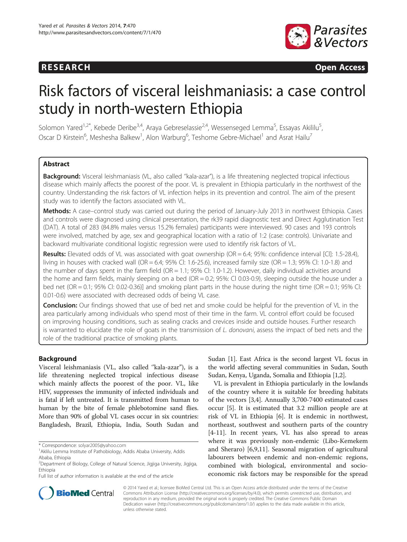# **RESEARCH RESEARCH CONSUMING ACCESS**



# Risk factors of visceral leishmaniasis: a case control study in north-western Ethiopia

Solomon Yared<sup>1,2\*</sup>, Kebede Deribe<sup>3,4</sup>, Araya Gebreselassie<sup>2,4</sup>, Wessenseged Lemma<sup>5</sup>, Essayas Akililu<sup>5</sup> , Oscar D Kirstein<sup>6</sup>, Meshesha Balkew<sup>1</sup>, Alon Warburg<sup>6</sup>, Teshome Gebre-Michael<sup>1</sup> and Asrat Hailu<sup>7</sup>

# Abstract

Background: Visceral leishmaniasis (VL, also called "kala-azar"), is a life threatening neglected tropical infectious disease which mainly affects the poorest of the poor. VL is prevalent in Ethiopia particularly in the northwest of the country. Understanding the risk factors of VL infection helps in its prevention and control. The aim of the present study was to identify the factors associated with VL.

Methods: A case–control study was carried out during the period of January-July 2013 in northwest Ethiopia. Cases and controls were diagnosed using clinical presentation, the rk39 rapid diagnostic test and Direct Agglutination Test (DAT). A total of 283 (84.8% males versus 15.2% females) participants were interviewed. 90 cases and 193 controls were involved, matched by age, sex and geographical location with a ratio of 1:2 (case: controls). Univariate and backward multivariate conditional logistic regression were used to identify risk factors of VL.

Results: Elevated odds of VL was associated with goat ownership (OR = 6.4; 95%: confidence interval [Cl]: 1.5-28.4), living in houses with cracked wall (OR = 6.4; 95% Cl: 1.6-25.6), increased family size (OR = 1.3; 95% Cl: 1.0-1.8) and the number of days spent in the farm field ( $OR = 1.1$ ; 95% Cl: 1.0-1.2). However, daily individual activities around the home and farm fields, mainly sleeping on a bed (OR = 0.2; 95%: Cl 0.03-0.9), sleeping outside the house under a bed net  $(OR = 0.1; 95\% \text{ Cl}: 0.02-0.36)$ ] and smoking plant parts in the house during the night time  $(OR = 0.1; 95\% \text{ Cl}:$ 0.01-0.6) were associated with decreased odds of being VL case.

**Conclusion:** Our findings showed that use of bed net and smoke could be helpful for the prevention of VL in the area particularly among individuals who spend most of their time in the farm. VL control effort could be focused on improving housing conditions, such as sealing cracks and crevices inside and outside houses. Further research is warranted to elucidate the role of goats in the transmission of L. donovani, assess the impact of bed nets and the role of the traditional practice of smoking plants.

# Background

Visceral leishmaniasis (VL, also called ''kala-azar"), is a life threatening neglected tropical infectious disease which mainly affects the poorest of the poor. VL, like HIV, suppresses the immunity of infected individuals and is fatal if left untreated. It is transmitted from human to human by the bite of female phlebotomine sand flies. More than 90% of global VL cases occur in six countries: Bangladesh, Brazil, Ethiopia, India, South Sudan and

Sudan [[1\]](#page-9-0). East Africa is the second largest VL focus in the world affecting several communities in Sudan, South Sudan, Kenya, Uganda, Somalia and Ethiopia [\[1,2\]](#page-9-0).

VL is prevalent in Ethiopia particularly in the lowlands of the country where it is suitable for breeding habitats of the vectors [\[3,4](#page-9-0)]. Annually 3,700-7400 estimated cases occur [[5\]](#page-9-0). It is estimated that 3.2 million people are at risk of VL in Ethiopia [\[6](#page-9-0)]. It is endemic in northwest, northeast, southwest and southern parts of the country [[4-11](#page-9-0)]. In recent years, VL has also spread to areas where it was previously non-endemic (Libo-Kemekem and Sheraro) [\[6,9,11\]](#page-9-0). Seasonal migration of agricultural labourers between endemic and non-endemic regions, combined with biological, environmental and socioeconomic risk factors may be responsible for the spread



© 2014 Yared et al.; licensee BioMed Central Ltd. This is an Open Access article distributed under the terms of the Creative Commons Attribution License [\(http://creativecommons.org/licenses/by/4.0\)](http://creativecommons.org/licenses/by/4.0), which permits unrestricted use, distribution, and reproduction in any medium, provided the original work is properly credited. The Creative Commons Public Domain Dedication waiver [\(http://creativecommons.org/publicdomain/zero/1.0/](http://creativecommons.org/publicdomain/zero/1.0/)) applies to the data made available in this article, unless otherwise stated.

<sup>\*</sup> Correspondence: [solyar2005@yahoo.com](mailto:solyar2005@yahoo.com) <sup>1</sup>

<sup>&</sup>lt;sup>1</sup> Aklilu Lemma Institute of Pathobiology, Addis Ababa University, Addis Ababa, Ethiopia

<sup>&</sup>lt;sup>2</sup>Department of Biology, College of Natural Science, Jigjiga University, Jigjiga, Ethiopia

Full list of author information is available at the end of the article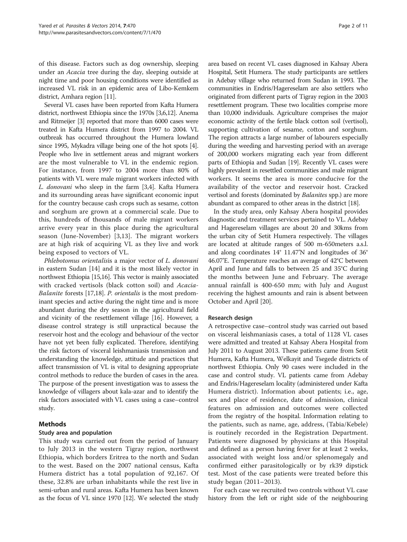of this disease. Factors such as dog ownership, sleeping under an Acacia tree during the day, sleeping outside at night time and poor housing conditions were identified as increased VL risk in an epidemic area of Libo-Kemkem district, Amhara region [\[11](#page-9-0)].

Several VL cases have been reported from Kafta Humera district, northwest Ethiopia since the 1970s [\[3,6,12](#page-9-0)]. Anema and Ritmeijer [\[3\]](#page-9-0) reported that more than 6000 cases were treated in Kafta Humera district from 1997 to 2004. VL outbreak has occurred throughout the Humera lowland since 1995, Mykadra village being one of the hot spots [[4](#page-9-0)]. People who live in settlement areas and migrant workers are the most vulnerable to VL in the endemic region. For instance, from 1997 to 2004 more than 80% of patients with VL were male migrant workers infected with L. donovani who sleep in the farm [[3,4\]](#page-9-0). Kafta Humera and its surrounding areas have significant economic input for the country because cash crops such as sesame, cotton and sorghum are grown at a commercial scale. Due to this, hundreds of thousands of male migrant workers arrive every year in this place during the agricultural season (June-November) [\[3](#page-9-0),[13\]](#page-9-0). The migrant workers are at high risk of acquiring VL as they live and work being exposed to vectors of VL.

Phlebotomus orientalisis a major vector of L. donovani in eastern Sudan [\[14](#page-9-0)] and it is the most likely vector in northwest Ethiopia [\[15,16\]](#page-9-0). This vector is mainly associated with cracked vertisols (black cotton soil) and Acacia-Balanite forests [[17,18](#page-9-0)]. P. orientalis is the most predominant species and active during the night time and is more abundant during the dry season in the agricultural field and vicinity of the resettlement village [\[16\]](#page-9-0). However, a disease control strategy is still unpractical because the reservoir host and the ecology and behaviour of the vector have not yet been fully explicated. Therefore, identifying the risk factors of visceral leishmaniasis transmission and understanding the knowledge, attitude and practices that affect transmission of VL is vital to designing appropriate control methods to reduce the burden of cases in the area. The purpose of the present investigation was to assess the knowledge of villagers about kala-azar and to identify the risk factors associated with VL cases using a case–control study.

# Methods

# Study area and population

This study was carried out from the period of January to July 2013 in the western Tigray region, northwest Ethiopia, which borders Eritrea to the north and Sudan to the west. Based on the 2007 national census, Kafta Humera district has a total population of 92,167. Of these, 32.8% are urban inhabitants while the rest live in semi-urban and rural areas. Kafta Humera has been known as the focus of VL since 1970 [\[12\]](#page-9-0). We selected the study

area based on recent VL cases diagnosed in Kahsay Abera Hospital, Setit Humera. The study participants are settlers in Adebay village who returned from Sudan in 1993. The communities in Endris/Hagereselam are also settlers who originated from different parts of Tigray region in the 2003 resettlement program. These two localities comprise more than 10,000 individuals. Agriculture comprises the major economic activity of the fertile black cotton soil (vertisol), supporting cultivation of sesame, cotton and sorghum. The region attracts a large number of labourers especially during the weeding and harvesting period with an average of 200,000 workers migrating each year from different parts of Ethiopia and Sudan [[19](#page-9-0)]. Recently VL cases were highly prevalent in resettled communities and male migrant workers. It seems the area is more conducive for the availability of the vector and reservoir host. Cracked vertisol and forests (dominated by Balanites spp.) are more abundant as compared to other areas in the district [[18](#page-9-0)].

In the study area, only Kahsay Abera hospital provides diagnostic and treatment services pertained to VL. Adebay and Hagereselam villages are about 20 and 30kms from the urban city of Setit Humera respectively. The villages are located at altitude ranges of 500 m-650meters a.s.l. and along coordinates 14° 11.47'N and longitudes of 36° 46.07'E. Temperature reaches an average of 42°C between April and June and falls to between 25 and 35°C during the months between June and February. The average annual rainfall is 400-650 mm; with July and August receiving the highest amounts and rain is absent between October and April [\[20\]](#page-9-0).

# Research design

A retrospective case–control study was carried out based on visceral leishmaniasis cases, a total of 1128 VL cases were admitted and treated at Kahsay Abera Hospital from July 2011 to August 2013. These patients came from Setit Humera, Kafta Humera, Welkayit and Tsegede districts of northwest Ethiopia. Only 90 cases were included in the case and control study. VL patients came from Adebay and Endris/Hagereselam locality (administered under Kafta Humera district). Information about patients; i.e., age, sex and place of residence, date of admission, clinical features on admission and outcomes were collected from the registry of the hospital. Information relating to the patients, such as name, age, address, (Tabia/Kebele) is routinely recorded in the Registration Department. Patients were diagnosed by physicians at this Hospital and defined as a person having fever for at least 2 weeks, associated with weight loss and/or splenomegaly and confirmed either parasitologically or by rk39 dipstick test. Most of the case patients were treated before this study began (2011–2013).

For each case we recruited two controls without VL case history from the left or right side of the neighbouring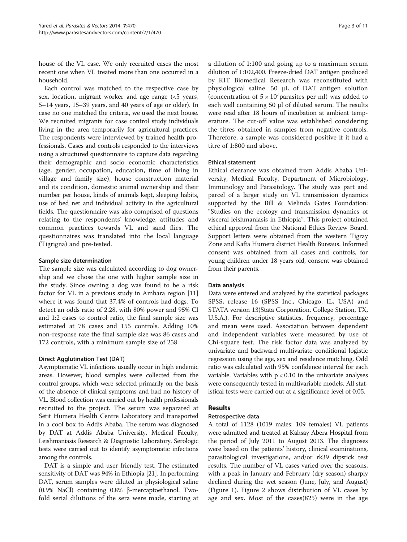house of the VL case. We only recruited cases the most recent one when VL treated more than one occurred in a household.

Each control was matched to the respective case by sex, location, migrant worker and age range (<5 years, 5–14 years, 15–39 years, and 40 years of age or older). In case no one matched the criteria, we used the next house. We recruited migrants for case control study individuals living in the area temporarily for agricultural practices. The respondents were interviewed by trained health professionals. Cases and controls responded to the interviews using a structured questionnaire to capture data regarding their demographic and socio economic characteristics (age, gender, occupation, education, time of living in village and family size), house construction material and its condition, domestic animal ownership and their number per house, kinds of animals kept, sleeping habits, use of bed net and individual activity in the agricultural fields. The questionnaire was also comprised of questions relating to the respondents' knowledge, attitudes and common practices towards VL and sand flies. The questionnaires was translated into the local language (Tigrigna) and pre-tested.

# Sample size determination

The sample size was calculated according to dog ownership and we chose the one with higher sample size in the study. Since owning a dog was found to be a risk factor for VL in a previous study in Amhara region [[11](#page-9-0)] where it was found that 37.4% of controls had dogs. To detect an odds ratio of 2.28, with 80% power and 95% CI and 1:2 cases to control ratio, the final sample size was estimated at 78 cases and 155 controls. Adding 10% non-response rate the final sample size was 86 cases and 172 controls, with a minimum sample size of 258.

#### Direct Agglutination Test (DAT)

Asymptomatic VL infections usually occur in high endemic areas. However, blood samples were collected from the control groups, which were selected primarily on the basis of the absence of clinical symptoms and had no history of VL. Blood collection was carried out by health professionals recruited to the project. The serum was separated at Setit Humera Health Centre Laboratory and transported in a cool box to Addis Ababa. The serum was diagnosed by DAT at Addis Ababa University, Medical Faculty, Leishmaniasis Research & Diagnostic Laboratory. Serologic tests were carried out to identify asymptomatic infections among the controls.

DAT is a simple and user friendly test. The estimated sensitivity of DAT was 94% in Ethiopia [\[21\]](#page-9-0). In performing DAT, serum samples were diluted in physiological saline (0.9% NaCl) containing 0.8% β-mercaptoethanol. Twofold serial dilutions of the sera were made, starting at

a dilution of 1:100 and going up to a maximum serum dilution of 1:102,400. Freeze-dried DAT antigen produced by KIT Biomedical Research was reconstituted with physiological saline. 50 μL of DAT antigen solution (concentration of  $5 \times 10^7$  parasites per ml) was added to each well containing 50 μl of diluted serum. The results were read after 18 hours of incubation at ambient temperature. The cut-off value was established considering the titres obtained in samples from negative controls. Therefore, a sample was considered positive if it had a titre of 1:800 and above.

#### Ethical statement

Ethical clearance was obtained from Addis Ababa University, Medical Faculty, Department of Microbiology, Immunology and Parasitology. The study was part and parcel of a larger study on VL transmission dynamics supported by the Bill & Melinda Gates Foundation: "Studies on the ecology and transmission dynamics of visceral leishmaniasis in Ethiopia". This project obtained ethical approval from the National Ethics Review Board. Support letters were obtained from the western Tigray Zone and Kafta Humera district Health Bureaus. Informed consent was obtained from all cases and controls, for young children under 18 years old, consent was obtained from their parents.

#### Data analysis

Data were entered and analyzed by the statistical packages SPSS, release 16 (SPSS Inc., Chicago, IL, USA) and STATA version 13(Stata Corporation, College Station, TX, U.S.A.). For descriptive statistics, frequency, percentage and mean were used. Association between dependent and independent variables were measured by use of Chi-square test. The risk factor data was analyzed by univariate and backward multivariate conditional logistic regression using the age, sex and residence matching. Odd ratio was calculated with 95% confidence interval for each variable. Variables with  $p < 0.10$  in the univariate analyses were consequently tested in multivariable models. All statistical tests were carried out at a significance level of 0.05.

# Results

#### Retrospective data

A total of 1128 (1019 males: 109 females) VL patients were admitted and treated at Kahsay Abera Hospital from the period of July 2011 to August 2013. The diagnoses were based on the patients' history, clinical examinations, parasitological investigations, and/or rk39 dipstick test results. The number of VL cases varied over the seasons, with a peak in January and February (dry season) sharply declined during the wet season (June, July, and August) (Figure [1](#page-3-0)). Figure [2](#page-3-0) shows distribution of VL cases by age and sex. Most of the cases(825) were in the age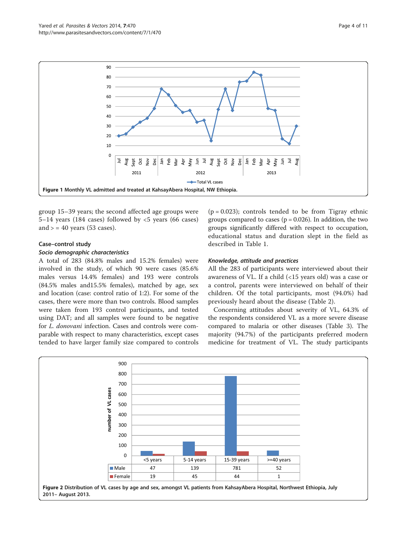<span id="page-3-0"></span>

group 15–39 years; the second affected age groups were 5–14 years (184 cases) followed by  $<$ 5 years (66 cases) and  $>$  = 40 years (53 cases).

#### Case–control study

#### Socio demographic characteristics

A total of 283 (84.8% males and 15.2% females) were involved in the study, of which 90 were cases (85.6% males versus 14.4% females) and 193 were controls (84.5% males and15.5% females), matched by age, sex and location (case: control ratio of 1:2). For some of the cases, there were more than two controls. Blood samples were taken from 193 control participants, and tested using DAT; and all samples were found to be negative for L. donovani infection. Cases and controls were comparable with respect to many characteristics, except cases tended to have larger family size compared to controls  $(p = 0.023)$ ; controls tended to be from Tigray ethnic groups compared to cases ( $p = 0.026$ ). In addition, the two groups significantly differed with respect to occupation, educational status and duration slept in the field as described in Table [1.](#page-4-0)

### Knowledge, attitude and practices

All the 283 of participants were interviewed about their awareness of VL. If a child (<15 years old) was a case or a control, parents were interviewed on behalf of their children. Of the total participants, most (94.0%) had previously heard about the disease (Table [2](#page-4-0)).

Concerning attitudes about severity of VL, 64.3% of the respondents considered VL as a more severe disease compared to malaria or other diseases (Table [3](#page-5-0)). The majority (94.7%) of the participants preferred modern medicine for treatment of VL. The study participants

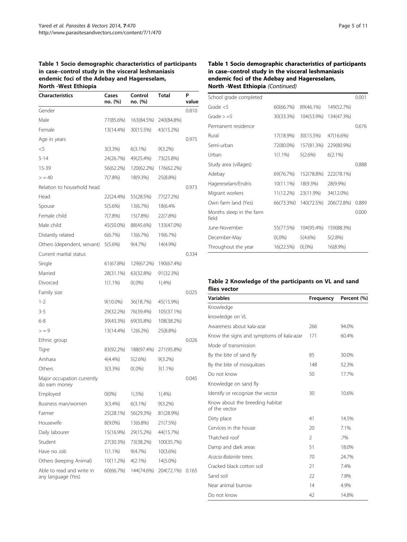### <span id="page-4-0"></span>Table 1 Socio demographic characteristics of participants in case–control study in the visceral leshmaniasis endemic foci of the Adebay and Hagereselam, North -West Ethiopia

| <b>Characteristics</b>                          | Cases<br>no. (%) | Control<br>no. (%) | Total      | P<br>value |
|-------------------------------------------------|------------------|--------------------|------------|------------|
| Gender                                          |                  |                    |            | 0.810      |
| Male                                            | 77(85.6%)        | 163(84.5%)         | 240(84.8%) |            |
| Female                                          | 13(14.4%)        | 30(15.5%)          | 43(15.2%)  |            |
| Age in years                                    |                  |                    |            | 0.975      |
| $<$ 5                                           | 3(3.3%)          | $6(3.1\%)$         | $9(3.2\%)$ |            |
| $5 - 14$                                        | 24(26.7%)        | 49(25.4%)          | 73(25.8%)  |            |
| 15-39                                           | 56(62.2%)        | 120(62.2%)         | 176(62.2%) |            |
| > 40                                            | 7(7.8%)          | 18(9.3%)           | 25(8.8%)   |            |
| Relation to household head                      |                  |                    |            | 0.973      |
| Head                                            | 22(24.4%)        | 55(28.5%)          | 77(27.2%)  |            |
| Spouse                                          | $5(5.6\%)$       | 13(6.7%)           | 18(6.4%    |            |
| Female child                                    | 7(7.8%)          | 15(7.8%)           | 22(7.8%)   |            |
| Male child                                      | 45(50.0%)        | 88(45.6%)          | 133(47.0%) |            |
| Distantly related                               | 6(6.7%)          | 13(6.7%)           | 19(6.7%)   |            |
| Others (dependent, servant)                     | 5(5.6%)          | 9(4.7%)            | 14(4.9%)   |            |
| Current marital status                          |                  |                    |            | 0.334      |
| Single                                          | 61(67.8%)        | 129(67.2%)         | 190(67.4%) |            |
| Married                                         | 28(31.1%)        | 63(32.8%)          | 91(32.3%)  |            |
| Divorced                                        | $1(1.1\%)$       | $O(.0\%)$          | 1(.4%)     |            |
| Family size                                     |                  |                    |            | 0.025      |
| $1 - 2$                                         | 9(10.0%)         | 36(18.7%)          | 45(15.9%)  |            |
| $3 - 5$                                         | 29(32.2%)        | 76(39.4%)          | 105(37.1%) |            |
| $6 - 8$                                         | 39(43.3%)        | 69(35.8%)          | 108(38.2%) |            |
| > 9                                             | 13(14.4%)        | 12(6.2%)           | 25(8.8%)   |            |
| Ethnic group                                    |                  |                    |            | 0.026      |
| Tigre                                           | 83(92.2%)        | 188(97.4%)         | 271(95.8%) |            |
| Amhara                                          | 4(4.4%)          | 5(2.6%)            | $9(3.2\%)$ |            |
| Others                                          | 3(3.3%)          | $0(.0\%)$          | $3(1.1\%)$ |            |
| Major occupation currently<br>do earn money     |                  |                    |            | 0.045      |
| Employed                                        | $O(0\%)$         | 1(.5%)             | 1(.4%)     |            |
| Business man/women                              | 3(3.4%)          | $6(3.1\%)$         | $9(3.2\%)$ |            |
| Farmer                                          | 25(28.1%)        | 56(29.3%)          | 81(28.9%)  |            |
| Housewife                                       | $8(9.0\%)$       | 13(6.8%)           | 21(7.5%)   |            |
| Daily labourer                                  | 15(16.9%)        | 29(15.2%)          | 44(15.7%)  |            |
| Student                                         | 27(30.3%)        | 73(38.2%)          | 100(35.7%) |            |
| Have no Job                                     | $1(1.1\%)$       | 9(4.7%)            | 10(3.6%)   |            |
| Others (keeping Animal)                         | 10(11.2%)        | $4(2.1\%)$         | 14(5.0%)   |            |
| Able to read and write in<br>any language (Yes) | 60(66.7%)        | 144(74.6%)         | 204(72.1%) | 0.165      |

# Table 1 Socio demographic characteristics of participants in case–control study in the visceral leshmaniasis endemic foci of the Adebay and Hagereselam, North -West Ethiopia (Continued)

| School grade completed            |              |            |            | 0.001 |
|-----------------------------------|--------------|------------|------------|-------|
| Grade $<$ 5                       | 60(66.7%)    | 89(46.1%)  | 149(52.7%) |       |
| Grade $> = 5$                     | 30(33.3%)    | 104(53.9%) | 134(47.3%) |       |
| Permanent residence               |              |            |            | 0.676 |
| Rural                             | 17(18.9%)    | 30(15.5%)  | 47(16.6%)  |       |
| Semi-urban                        | 72(80.0%)    | 157(81.3%) | 229(80.9%) |       |
| Urban                             | $1(1.1\%)$   | 5(2.6%)    | 6(2.1%)    |       |
| Study area (villages)             |              |            |            | 0.888 |
| Adebay                            | 69(76.7%)    | 152(78.8%) | 222(78.1%) |       |
| Hagereselam/Endris                | $10(11.1\%)$ | 18(9.3%)   | 28(9.9%)   |       |
| Migrant workers                   | 11(12.2%)    | 23(11.9%)  | 34(12.0%)  |       |
| Own farm land (Yes)               | 66(73.3%0    | 140(72.5%) | 206(72.8%) | 0.889 |
| Months sleep in the farm<br>field |              |            |            | 0.000 |
| June-November                     | 55(77.5%)    | 104(95.4%) | 159(88.3%) |       |
| December-May                      | $O(.0\%)$    | $5(4.6\%)$ | 5(2.8%)    |       |
| Throughout the year               | 16(22.5%)    | $0(.0\%)$  | 16(8.9%)   |       |

# Table 2 Knowledge of the participants on VL and sand flies vector

| <b>Variables</b>                                 | Frequency      | Percent (%) |
|--------------------------------------------------|----------------|-------------|
| Knowledge                                        |                |             |
| knowledge on VL                                  |                |             |
| Awareness about kala-azar                        | 266            | 94.0%       |
| Know the signs and symptoms of kala-azar         | 171            | 60.4%       |
| Mode of transmission                             |                |             |
| By the bite of sand fly                          | 85             | 30.0%       |
| By the bite of mosquitoes                        | 148            | 52.3%       |
| Do not know                                      | 50             | 17.7%       |
| Knowledge on sand fly                            |                |             |
| Identify or recognize the vector                 | 30             | 10.6%       |
| Know about the breeding habitat<br>of the vector |                |             |
| Dirty place                                      | 41             | 14.5%       |
| Cervices in the house                            | 20             | 7.1%        |
| Thatched roof                                    | $\mathfrak{D}$ | .7%         |
| Damp and dark areas                              | 51             | 18.0%       |
| Acacia-Balanite trees                            | 70             | 24.7%       |
| Cracked black cotton soil                        | 21             | 7.4%        |
| Sand soil                                        | 22             | 7.8%        |
| Near animal burrow                               | 14             | 4.9%        |
| Do not know                                      | 42             | 14.8%       |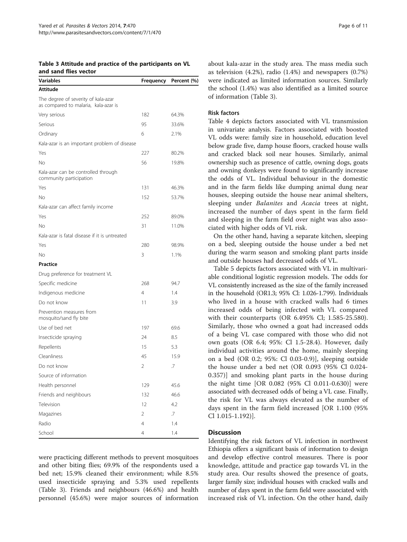<span id="page-5-0"></span>Table 3 Attitude and practice of the participants on VL and sand flies vector

| <b>Variables</b>                                                            | Frequency | Percent (%) |
|-----------------------------------------------------------------------------|-----------|-------------|
| Attitude                                                                    |           |             |
| The degree of severity of kala-azar<br>as compared to malaria, kala-azar is |           |             |
| Very serious                                                                | 182       | 64.3%       |
| Serious                                                                     | 95        | 33.6%       |
| Ordinary                                                                    | 6         | 2.1%        |
| Kala-azar is an important problem of disease                                |           |             |
| Yes                                                                         | 227       | 80.2%       |
| No                                                                          | 56        | 19.8%       |
| Kala-azar can be controlled through<br>community participation              |           |             |
| Yes                                                                         | 131       | 46.3%       |
| N <sub>o</sub>                                                              | 152       | 53.7%       |
| Kala-azar can affect family income                                          |           |             |
| Yes                                                                         | 252       | 89.0%       |
| No                                                                          | 31        | 11.0%       |
| Kala-azar is fatal disease if it is untreated                               |           |             |
| Yes                                                                         | 280       | 98.9%       |
| No                                                                          | 3         | 1.1%        |
| <b>Practice</b>                                                             |           |             |
| Drug preference for treatment VL                                            |           |             |
| Specific medicine                                                           | 268       | 94.7        |
| Indigenous medicine                                                         | 4         | 1.4         |
| Do not know                                                                 | 11        | 3.9         |
| Prevention measures from<br>mosquito/sand fly bite                          |           |             |
| Use of bed net                                                              | 197       | 69.6        |
| Insecticide spraying                                                        | 24        | 8.5         |
| Repellents                                                                  | 15        | 5.3         |
| Cleanliness                                                                 | 45        | 15.9        |
| Do not know                                                                 | 2         | .7          |
| Source of information                                                       |           |             |
| Health personnel                                                            | 129       | 45.6        |
| Friends and neighbours                                                      | 132       | 46.6        |
| Television                                                                  | 12        | 4.2         |
| Magazines                                                                   | 2         | .7          |
| Radio                                                                       | 4         | 1.4         |
| School                                                                      | 4         | 1.4         |

were practicing different methods to prevent mosquitoes and other biting flies; 69.9% of the respondents used a bed net; 15.9% cleaned their environment; while 8.5% used insecticide spraying and 5.3% used repellents (Table 3). Friends and neighbours (46.6%) and health personnel (45.6%) were major sources of information

about kala-azar in the study area. The mass media such as television (4.2%), radio (1.4%) and newspapers (0.7%) were indicated as limited information sources. Similarly the school (1.4%) was also identified as a limited source of information (Table 3).

# Risk factors

Table [4](#page-6-0) depicts factors associated with VL transmission in univariate analysis. Factors associated with boosted VL odds were: family size in household, education level below grade five, damp house floors, cracked house walls and cracked black soil near houses. Similarly, animal ownership such as presence of cattle, owning dogs, goats and owning donkeys were found to significantly increase the odds of VL. Individual behaviour in the domestic and in the farm fields like dumping animal dung near houses, sleeping outside the house near animal shelters, sleeping under Balanites and Acacia trees at night, increased the number of days spent in the farm field and sleeping in the farm field over night was also associated with higher odds of VL risk.

On the other hand, having a separate kitchen, sleeping on a bed, sleeping outside the house under a bed net during the warm season and smoking plant parts inside and outside houses had decreased odds of VL.

Table [5](#page-7-0) depicts factors associated with VL in multivariable conditional logistic regression models. The odds for VL consistently increased as the size of the family increased in the household (OR1.3; 95% Cl: 1.026-1.799). Individuals who lived in a house with cracked walls had 6 times increased odds of being infected with VL compared with their counterparts (OR 6.495% Cl; 1.585-25.580). Similarly, those who owned a goat had increased odds of a being VL case compared with those who did not own goats (OR 6.4; 95%: Cl 1.5-28.4). However, daily individual activities around the home, mainly sleeping on a bed (OR 0.2; 95%: Cl 0.03-0.9)], sleeping outside the house under a bed net (OR 0.093 (95% Cl 0.024- 0.357)] and smoking plant parts in the house during the night time [OR 0.082 (95% Cl 0.011-0.630)] were associated with decreased odds of being a VL case. Finally, the risk for VL was always elevated as the number of days spent in the farm field increased [OR 1.100 (95% Cl 1.015-1.192)].

# Discussion

Identifying the risk factors of VL infection in northwest Ethiopia offers a significant basis of information to design and develop effective control measures. There is poor knowledge, attitude and practice gap towards VL in the study area. Our results showed the presence of goats, larger family size; individual houses with cracked walls and number of days spent in the farm field were associated with increased risk of VL infection. On the other hand, daily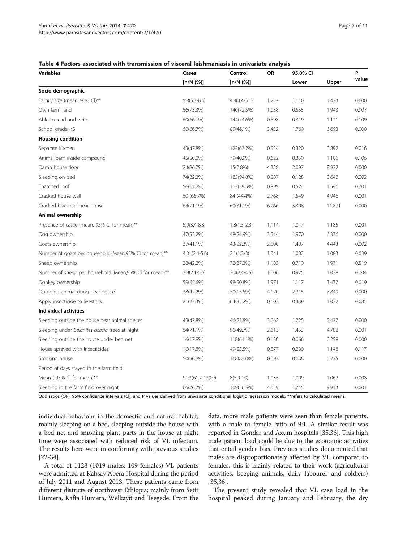#### <span id="page-6-0"></span>Table 4 Factors associated with transmission of visceral leishmaniasis in univariate analysis

| <b>Variables</b>                                       | Cases            | Control        | OR    | 95.0% CI |        | P     |
|--------------------------------------------------------|------------------|----------------|-------|----------|--------|-------|
|                                                        | [n/N (%)]        | [n/N (%)]      |       | Lower    | Upper  | value |
| Socio-demographic                                      |                  |                |       |          |        |       |
| Family size (mean, 95% Cl)**                           | $5.8(5.3-6.4)$   | $4.8(4.4-5.1)$ | 1.257 | 1.110    | 1.423  | 0.000 |
| Own farm land                                          | 66(73.3%)        | 140(72.5%)     | 1.038 | 0.555    | 1.943  | 0.907 |
| Able to read and write                                 | 60(66.7%)        | 144(74.6%)     | 0.598 | 0.319    | 1.121  | 0.109 |
| School grade <5                                        | 60(66.7%)        | 89(46.1%)      | 3.432 | 1.760    | 6.693  | 0.000 |
| <b>Housing condition</b>                               |                  |                |       |          |        |       |
| Separate kitchen                                       | 43(47.8%)        | 122(63.2%)     | 0.534 | 0.320    | 0.892  | 0.016 |
| Animal barn inside compound                            | 45(50.0%)        | 79(40.9%)      | 0.622 | 0.350    | 1.106  | 0.106 |
| Damp house floor                                       | 24(26.7%)        | 15(7.8%)       | 4.328 | 2.097    | 8.932  | 0.000 |
| Sleeping on bed                                        | 74(82.2%)        | 183(94.8%)     | 0.287 | 0.128    | 0.642  | 0.002 |
| Thatched roof                                          | 56(62.2%)        | 113(59.5%)     | 0.899 | 0.523    | 1.546  | 0.701 |
| Cracked house wall                                     | 60 (66.7%)       | 84 (44.4%)     | 2.768 | 1.549    | 4.946  | 0.001 |
| Cracked black soil near house                          | 64(71.1%)        | 60(31.1%)      | 6.266 | 3.308    | 11.871 | 0.000 |
| Animal ownership                                       |                  |                |       |          |        |       |
| Presence of cattle (mean, 95% CI for mean)**           | $5.9(3.4-8.3)$   | $1.8(1.3-2.3)$ | 1.114 | 1.047    | 1.185  | 0.001 |
| Dog ownership                                          | 47(52.2%)        | 48(24.9%)      | 3.544 | 1.970    | 6.376  | 0.000 |
| Goats ownership                                        | 37(41.1%)        | 43(22.3%)      | 2.500 | 1.407    | 4.443  | 0.002 |
| Number of goats per household (Mean,95% CI for mean)** | $4.01(2.4-5.6)$  | $2.1(1.3-3)$   | 1.041 | 1.002    | 1.083  | 0.039 |
| Sheep ownership                                        | 38(42.2%)        | 72(37.3%)      | 1.183 | 0.710    | 1.971  | 0.519 |
| Number of sheep per household (Mean,95% CI for mean)** | $3.9(2.1 - 5.6)$ | $3.4(2.4-4.5)$ | 1.006 | 0.975    | 1.038  | 0.704 |
| Donkey ownership                                       | 59(65.6%)        | 98(50.8%)      | 1.971 | 1.117    | 3.477  | 0.019 |
| Dumping animal dung near house                         | 38(42.2%)        | 30(15.5%)      | 4.170 | 2.215    | 7.849  | 0.000 |
| Apply insecticide to livestock                         | 21(23.3%)        | 64(33.2%)      | 0.603 | 0.339    | 1.072  | 0.085 |
| Individual activities                                  |                  |                |       |          |        |       |
| Sleeping outside the house near animal shelter         | 43(47.8%)        | 46(23.8%)      | 3.062 | 1.725    | 5.437  | 0.000 |
| Sleeping under Balanites-acacia trees at night         | 64(71.1%)        | 96(49.7%)      | 2.613 | 1.453    | 4.702  | 0.001 |
| Sleeping outside the house under bed net               | 16(17.8%)        | 118(61.1%)     | 0.130 | 0.066    | 0.258  | 0.000 |
| House sprayed with insecticides                        | 16(17.8%)        | 49(25.5%)      | 0.577 | 0.290    | 1.148  | 0.117 |
| Smoking house                                          | 50(56.2%)        | 168(87.0%)     | 0.093 | 0.038    | 0.225  | 0.000 |
| Period of days stayed in the farm field                |                  |                |       |          |        |       |
| Mean (95% Cl for mean)**                               | 91.3(61.7-120.9) | $8(5.9 - 10)$  | 1.035 | 1.009    | 1.062  | 0.008 |
| Sleeping in the farm field over night                  | 66(76.7%)        | 109(56.5%)     | 4.159 | 1.745    | 9.913  | 0.001 |

Odd ratios (OR), 95% confidence intervals (Cl), and P values derived from univariate conditional logistic regression models. \*\*refers to calculated means.

individual behaviour in the domestic and natural habitat; mainly sleeping on a bed, sleeping outside the house with a bed net and smoking plant parts in the house at night time were associated with reduced risk of VL infection. The results here were in conformity with previous studies [[22](#page-9-0)-[34\]](#page-10-0).

A total of 1128 (1019 males: 109 females) VL patients were admitted at Kahsay Abera Hospital during the period of July 2011 and August 2013. These patients came from different districts of northwest Ethiopia; mainly from Setit Humera, Kafta Humera, Welkayit and Tsegede. From the

data, more male patients were seen than female patients, with a male to female ratio of 9:1. A similar result was reported in Gondar and Axum hospitals [\[35,36\]](#page-10-0). This high male patient load could be due to the economic activities that entail gender bias. Previous studies documented that males are disproportionately affected by VL compared to females, this is mainly related to their work (agricultural activities, keeping animals, daily labourer and soldiers) [[35](#page-10-0),[36](#page-10-0)].

The present study revealed that VL case load in the hospital peaked during January and February, the dry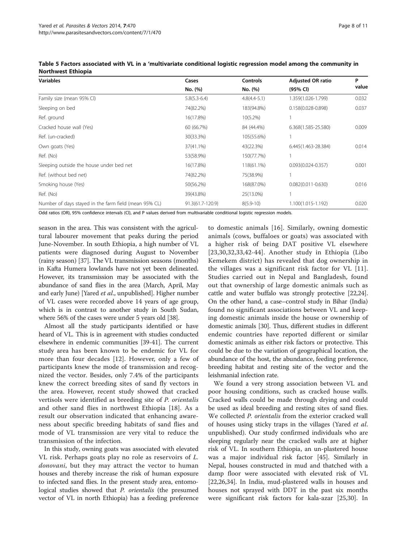| <b>Variables</b>                                      | Cases            | <b>Controls</b> | <b>Adjusted OR ratio</b> | P     |
|-------------------------------------------------------|------------------|-----------------|--------------------------|-------|
|                                                       | No. (%)          | No. (%)         | (95% CI)                 | value |
| Family size (mean 95% Cl)                             | $5.8(5.3-6.4)$   | $4.8(4.4-5.1)$  | 1.359(1.026-1.799)       | 0.032 |
| Sleeping on bed                                       | 74(82.2%)        | 183(94.8%)      | $0.158(0.028 - 0.898)$   | 0.037 |
| Ref. ground                                           | 16(17.8%)        | $10(5.2\%)$     |                          |       |
| Cracked house wall (Yes)                              | 60 (66.7%)       | 84 (44.4%)      | 6.368(1.585-25.580)      | 0.009 |
| Ref. (un-cracked)                                     | 30(33.3%)        | 105(55.6%)      |                          |       |
| Own goats (Yes)                                       | 37(41.1%)        | 43(22.3%)       | 6.445(1.463-28.384)      | 0.014 |
| Ref. (No)                                             | 53(58.9%)        | 150(77.7%)      |                          |       |
| Sleeping outside the house under bed net              | 16(17.8%)        | 118(61.1%)      | $0.093(0.024 - 0.357)$   | 0.001 |
| Ref. (without bed net)                                | 74(82.2%)        | 75(38.9%)       |                          |       |
| Smoking house (Yes)                                   | 50(56.2%)        | 168(87.0%)      | $0.082(0.011 - 0.630)$   | 0.016 |
| Ref. (No)                                             | 39(43.8%)        | 25(13.0%)       |                          |       |
| Number of days stayed in the farm field (mean 95% CL) | 91.3(61.7-120.9) | $8(5.9 - 10)$   | 1.100(1.015-1.192)       | 0.020 |

<span id="page-7-0"></span>

| Table 5 Factors associated with VL in a 'multivariate conditional logistic regression model among the community in |  |  |
|--------------------------------------------------------------------------------------------------------------------|--|--|
| <b>Northwest Ethiopia</b>                                                                                          |  |  |

Odd ratios (OR), 95% confidence intervals (Cl), and P values derived from multivariable conditional logistic regression models.

season in the area. This was consistent with the agricultural labourer movement that peaks during the period June-November. In south Ethiopia, a high number of VL patients were diagnosed during August to November (rainy season) [[37](#page-10-0)]. The VL transmission seasons (months) in Kafta Humera lowlands have not yet been delineated. However, its transmission may be associated with the abundance of sand flies in the area (March, April, May and early June) [Yared et al., unpublished]. Higher number of VL cases were recorded above 14 years of age group, which is in contrast to another study in South Sudan, where 56% of the cases were under 5 years old [\[38\]](#page-10-0).

Almost all the study participants identified or have heard of VL. This is in agreement with studies conducted elsewhere in endemic communities [\[39-41\]](#page-10-0). The current study area has been known to be endemic for VL for more than four decades [[12\]](#page-9-0). However, only a few of participants knew the mode of transmission and recognized the vector. Besides, only 7.4% of the participants knew the correct breeding sites of sand fly vectors in the area. However, recent study showed that cracked vertisols were identified as breeding site of P. orientalis and other sand flies in northwest Ethiopia [\[18](#page-9-0)]. As a result our observation indicated that enhancing awareness about specific breeding habitats of sand flies and mode of VL transmission are very vital to reduce the transmission of the infection.

In this study, owning goats was associated with elevated VL risk. Perhaps goats play no role as reservoirs of L. donovani, but they may attract the vector to human houses and thereby increase the risk of human exposure to infected sand flies. In the present study area, entomological studies showed that *P. orientalis* (the presumed vector of VL in north Ethiopia) has a feeding preference

to domestic animals [[16\]](#page-9-0). Similarly, owning domestic animals (cows, buffaloes or goats) was associated with a higher risk of being DAT positive VL elsewhere [[23](#page-9-0),[30,32](#page-10-0),[33,42](#page-10-0)-[44](#page-10-0)]. Another study in Ethiopia (Libo Kemekem district) has revealed that dog ownership in the villages was a significant risk factor for VL [[11](#page-9-0)]. Studies carried out in Nepal and Bangladesh, found out that ownership of large domestic animals such as cattle and water buffalo was strongly protective [\[22,24](#page-9-0)]. On the other hand, a case–control study in Bihar (India) found no significant associations between VL and keeping domestic animals inside the house or ownership of domestic animals [\[30\]](#page-10-0). Thus, different studies in different endemic countries have reported different or similar domestic animals as either risk factors or protective. This could be due to the variation of geographical location, the abundance of the host, the abundance, feeding preference, breeding habitat and resting site of the vector and the leishmanial infection rate.

We found a very strong association between VL and poor housing conditions, such as cracked house walls. Cracked walls could be made through drying and could be used as ideal breeding and resting sites of sand flies. We collected *P. orientalis* from the exterior cracked wall of houses using sticky traps in the villages (Yared *et al.* unpublished). Our study confirmed individuals who are sleeping regularly near the cracked walls are at higher risk of VL. In southern Ethiopia, an un-plastered house was a major individual risk factor [\[45](#page-10-0)]. Similarly in Nepal, houses constructed in mud and thatched with a damp floor were associated with elevated risk of VL [[22,26,](#page-9-0)[34\]](#page-10-0). In India, mud-plastered walls in houses and houses not sprayed with DDT in the past six months were significant risk factors for kala-azar [[25](#page-9-0),[30](#page-10-0)]. In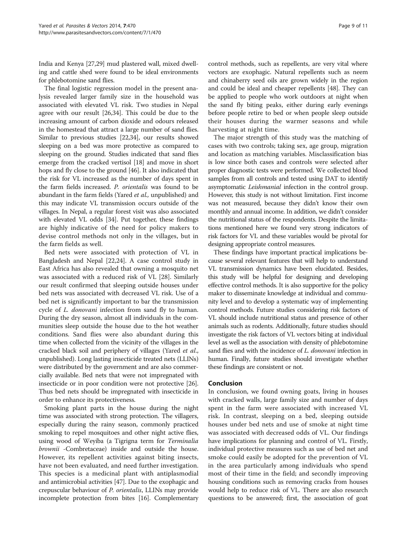India and Kenya [[27](#page-9-0),[29](#page-10-0)] mud plastered wall, mixed dwelling and cattle shed were found to be ideal environments for phlebotomine sand flies.

The final logistic regression model in the present analysis revealed larger family size in the household was associated with elevated VL risk. Two studies in Nepal agree with our result [[26](#page-9-0),[34](#page-10-0)]. This could be due to the increasing amount of carbon dioxide and odours released in the homestead that attract a large number of sand flies. Similar to previous studies [\[22](#page-9-0)[,34\]](#page-10-0), our results showed sleeping on a bed was more protective as compared to sleeping on the ground. Studies indicated that sand flies emerge from the cracked vertisol [[18](#page-9-0)] and move in short hops and fly close to the ground [\[46\]](#page-10-0). It also indicated that the risk for VL increased as the number of days spent in the farm fields increased. P. orientalis was found to be abundant in the farm fields (Yared et al., unpublished) and this may indicate VL transmission occurs outside of the villages. In Nepal, a regular forest visit was also associated with elevated VL odds [[34\]](#page-10-0). Put together, these findings are highly indicative of the need for policy makers to devise control methods not only in the villages, but in the farm fields as well.

Bed nets were associated with protection of VL in Bangladesh and Nepal [\[22,24\]](#page-9-0). A case control study in East Africa has also revealed that owning a mosquito net was associated with a reduced risk of VL [[28\]](#page-9-0). Similarly our result confirmed that sleeping outside houses under bed nets was associated with decreased VL risk. Use of a bed net is significantly important to bar the transmission cycle of L. donovani infection from sand fly to human. During the dry season, almost all individuals in the communities sleep outside the house due to the hot weather conditions. Sand flies were also abundant during this time when collected from the vicinity of the villages in the cracked black soil and periphery of villages (Yared et al., unpublished). Long lasting insecticide treated nets (LLINs) were distributed by the government and are also commercially available. Bed nets that were not impregnated with insecticide or in poor condition were not protective [[26](#page-9-0)]. Thus bed nets should be impregnated with insecticide in order to enhance its protectiveness.

Smoking plant parts in the house during the night time was associated with strong protection. The villagers, especially during the rainy season, commonly practiced smoking to repel mosquitoes and other night active flies, using wood of Weyiba (a Tigrigna term for Terminalia brownii -Combretaceae) inside and outside the house. However, its repellent activities against biting insects, have not been evaluated, and need further investigation. This species is a medicinal plant with antiplasmodial and antimicrobial activities [\[47\]](#page-10-0). Due to the exophagic and crepuscular behaviour of P. orientalis, LLINs may provide incomplete protection from bites [[16](#page-9-0)]. Complementary

control methods, such as repellents, are very vital where vectors are exophagic. Natural repellents such as neem and chinaberry seed oils are grown widely in the region and could be ideal and cheaper repellents [\[48](#page-10-0)]. They can be applied to people who work outdoors at night when the sand fly biting peaks, either during early evenings before people retire to bed or when people sleep outside their houses during the warmer seasons and while harvesting at night time.

The major strength of this study was the matching of cases with two controls; taking sex, age group, migration and location as matching variables. Misclassification bias is low since both cases and controls were selected after proper diagnostic tests were performed. We collected blood samples from all controls and tested using DAT to identify asymptomatic Leishmanial infection in the control group. However, this study is not without limitation. First income was not measured, because they didn't know their own monthly and annual income. In addition, we didn't consider the nutritional status of the respondents. Despite the limitations mentioned here we found very strong indicators of risk factors for VL and these variables would be pivotal for designing appropriate control measures.

These findings have important practical implications because several relevant features that will help to understand VL transmission dynamics have been elucidated. Besides, this study will be helpful for designing and developing effective control methods. It is also supportive for the policy maker to disseminate knowledge at individual and community level and to develop a systematic way of implementing control methods. Future studies considering risk factors of VL should include nutritional status and presence of other animals such as rodents. Additionally, future studies should investigate the risk factors of VL vectors biting at individual level as well as the association with density of phlebotomine sand flies and with the incidence of L. donovani infection in human. Finally, future studies should investigate whether these findings are consistent or not.

# Conclusion

In conclusion, we found owning goats, living in houses with cracked walls, large family size and number of days spent in the farm were associated with increased VL risk. In contrast, sleeping on a bed, sleeping outside houses under bed nets and use of smoke at night time was associated with decreased odds of VL. Our findings have implications for planning and control of VL. Firstly, individual protective measures such as use of bed net and smoke could easily be adopted for the prevention of VL in the area particularly among individuals who spend most of their time in the field; and secondly improving housing conditions such as removing cracks from houses would help to reduce risk of VL. There are also research questions to be answered; first, the association of goat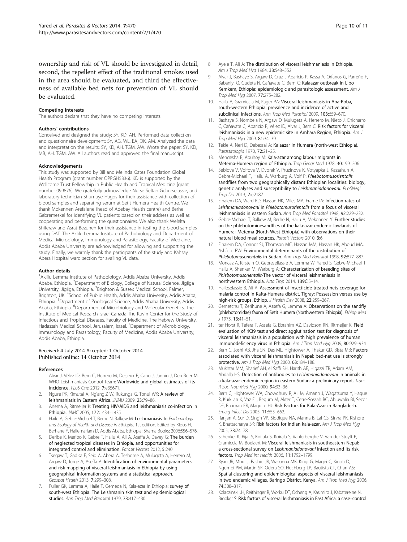<span id="page-9-0"></span>ownership and risk of VL should be investigated in detail, second, the repellent effect of the traditional smokes used in the area should be evaluated, and third the effectiveness of available bed nets for prevention of VL should be evaluated.

#### Competing interests

The authors declare that they have no competing interests.

#### Authors' contributions

Conceived and designed the study: SY, KD, AH. Performed data collection and questionnaire development: SY, AG, WL, EA, OK, AM. Analyzed the data and interpretation the results: SY, KD, AH, TGM, AW. Wrote the paper: SY, KD, MB, AH, TGM, AW. All authors read and approved the final manuscript.

#### Acknowledgements

This study was supported by Bill and Melinda Gates Foundation Global Health Program (grant number OPPGH5336). KD is supported by the Wellcome Trust Fellowship in Public Health and Tropical Medicine [grant number 099876]. We gratefully acknowledge Nurse Seltan Gebreselassie, and laboratory technician Shumuye Hagos for their assistance with collection of blood samples and separating serum at Setit Humera Health Centre. We thank Mokennen Arefaiene (head of Adebay Health centre) and Berhe Gebremeskel for identifying VL patients based on their address as well as cooperating and performing the questionnaires. We also thank Welelta Shiferaw and Asrat Bezuneh for their assistance in testing the blood samples using DAT. The Aklilu Lemma Institute of Pathobiology and Department of Medical Microbiology, Immunology and Parasitology, Faculty of Medicine, Addis Ababa University are acknowledged for allowing and supporting the study. Finally, we warmly thank the participants of the study and Kahsay Abera Hospital ward section for availing VL data.

#### Author details

<sup>1</sup> Aklilu Lemma Institute of Pathobiology, Addis Ababa University, Addis Ababa, Ethiopia. <sup>2</sup>Department of Biology, College of Natural Science, Jigjiga University, Jigjiga, Ethiopia. <sup>3</sup>Brighton & Sussex Medical School, Falmer, Brighton, UK. <sup>4</sup>School of Public Health, Addis Ababa University, Addis Ababa, Ethiopia. <sup>5</sup>Department of Zoological Science, Addis Ababa University, Addis Ababa, Ethiopia. <sup>6</sup>Department of Microbiology and Molecular Genetics, The Institute of Medical Research Israel-Canada The Kuvin Center for the Study of Infectious and Tropical Diseases, Faculty of Medicine, The Hebrew University, Hadassah Medical School, Jerusalem, Israel. <sup>7</sup>Department of Microbiology, Immunology and Parasitology, Faculty of Medicine, Addis Ababa University, Addis Ababa, Ethiopia.

#### Received: 4 July 2014 Accepted: 1 October 2014 Published online: 14 October 2014

#### References

- 1. Alvar J, Vélez ID, Bern C, Herrero M, Desjeux P, Cano J, Jannin J, Den Boer M, WHO Leishmaniasis Control Team: Worldwide and global estimates of its incidence. PLoS One 2012, 7:e35671.
- 2. Ngure PK, Kimutai A, Ng'ang'Z W, Rukunga G, Tonui WK: A review of leishmaniasis in Eastern Africa. JNMU 2009, 23:79–86.
- 3. Anema A, Ritmeijer K: Treating HIV/AIDS and leishmaniasis co-infection in Ethiopia. JAMC 2005, 172:1434–1435.
- 4. Hailu A, Gebre-Michael T, Berhe N, Balkew M: Leishmaniasis. In Epidemiology and Ecology of Health and Disease in Ethiopia. 1st edition. Edited by Kloos H, Berhane Y, Hailemariam D. Addis Ababa, Ethiopia: Shama Books; 2006:556–576.
- Deribe K, Meribo K, Gebre T, Hailu A, Ali A, Aseffa A, Davey G: The burden of neglected tropical diseases in Ethiopia, and opportunities for integrated control and elimination. Parasit Vectors 2012, 5:240.
- 6. Tsegaw T, Gadisa E, Seid A, Abera A, Teshome A, Mulugeta A, Herrero M, Argaw D, Jorge A, Aseffa A: Identification of environmental parameters and risk mapping of visceral leishmaniasis in Ethiopia by using geographical information systems and a statistical approach. Geospat Health 2013, 7:299–308.
- Fuller GK, Lemma A, Haile T, Gemeda N, Kala-azar in Ethiopia: survey of south-west Ethiopia. The Leishmanin skin test and epidemiological studies. Ann Trop Med Parasitol 1979, 73:417-430.
- 8. Ayele T, Ali A: The distribution of visceral leishmaniasis in Ethiopia. Am J Trop Med Hyg 1984, 33:548-552.
- 9. Alvar J, Bashaye S, Argaw D, Cruz I, Aparicio P, Kassa A, Orfanos G, Parreño F, Babaniyi O, Gudeta N, Cañavate C, Bern C: Kalaazar outbreak in Libo Kemkem, Ethiopia: epidemiologic and parasitologic assessment. Am J Trop Med Hyg 2007, 77:275–282.
- 10. Hailu A, Gramiccia M, Kager PA: Visceral leishmaniasis in Aba-Roba, south-western Ethiopia: prevalence and incidence of active and subclinical infections. Ann Trop Med Parasitol 2009, 103:659–670.
- 11. Bashaye S, Nombela N, Argaw D, Mulugeta A, Herrero M, Nieto J, Chicharro C, Cañavate C, Aparicio P, Vélez ID, Alvar J, Bern C: Risk factors for visceral leishmaniasis in a new epidemic site in Amhara Region, Ethiopia. Am J Trop Med Hyg 2009, 81:34–39.
- 12. Tekle A, Neri D, Debessai A: Kalaazar in Humera (north-west Ethiopia). Parassitologia 1970, 72:21-25.
- 13. Mengesha B, Abuhoy M: Kala-azar among labour migrants in Metema-Humera region of Ethiopia. Trop Geogr Med 1978, 30:199–206.
- 14. Seblova V, Volfova V, Dvorak V, Pruzinova K, Votyapka J, Kassahun A, Gebre-Michael T, Hailu A, Warburg A, Volf P: Phlebotomusorientalis sandflies from two geographically distant Ethiopian localities: biology, genetic analyses and susceptibility to Leishmaniadonovani. PLoSNegl Trop Dis 2013, 7:e2187.
- 15. Elnaiem DA, Ward RD, Hassan HK, Miles MA, Frame IA: Infection rates of Leishmaniadonovani in Phlebotomusorientalis from a focus of visceral leishmaniasis in eastern Sudan. Ann Trop Med Parasitol 1998, 92:229–232.
- 16. Gebre-Michael T, Balkew M, Berhe N, Hailu A, Mekonnen Y: Further studies on the phlebotominesandflies of the kala-azar endemic lowlands of Humera- Metema (North-West Ethiopia) with observations on their natural blood meal sources. Parasit Vectors 2010, 3:6.
- 17. Elnaiem DA, Connor SJ, Thomson MC, Hassan MM, Hassan HK, Aboud MA, Ashford RW: Environmental determinants of the distribution of Phlebotomusorientalis in Sudan. Ann Trop Med Parasitol 1998, 92:877-887.
- 18. Moncaz A, Kirstein O, Gebresellassie A, Lemma W, Yared S, Gebre-Michael T, Hailu A, Shenker M, Warburg A: Characterization of breeding sites of Phlebotomusorientalis-The vector of visceral leishmaniasis in northwestern Ethiopia. Acta Trop 2014, 139C:5–14.
- 19. Haileselassie B, Ali A: Assessment of insecticide treated nets coverage for malaria control in Kafta-Humera district, Tigray: Possession versus use by high-risk groups. Ethiop. J Health Dev 2008, 22:259–267.
- 20. Gemetchu T, Zerihune A, Assefa G, Lemma A: Observations on the sandfly (phlebotomidae) fauna of Setit Humera (Northwestern Ethiopia). Ethiop Med J 1975, 13:41–51.
- 21. ter Horst R, Tefera T, Assefa G, Ebrahim AZ, Davidson RN, Ritmeijer K: Field evaluation of rK39 test and direct agglutination test for diagnosis of visceral leishmaniasis in a population with high prevalence of human immunodeficiency virus in Ethiopia. Am J Trop Med Hyg 2009, 80:929–934.
- 22. Bern C, Joshi AB, Jha SN, Das ML, Hightower A, Thakur GD, Bista MB: Factors associated with visceral leishmaniasis in Nepal: bed-net use is strongly protective. Am J Trop Med Hyg 2000, 63:184–188.
- 23. Mukhtar MM, Sharief AH, el Saffi SH, Harith AE, Higazzi TB, Adam AM, Abdalla HS: Detection of antibodies to Leishmaniadonovani in animals in a kala-azar endemic region in eastern Sudan: a preliminary report. Trans R Soc Trop Med Hyg 2000, 94:33–36.
- 24. Bern C, Hightower WA, Chowdhury R, Ali M, Amann J, Wagatsuma Y, Haque R, Kurkjian K, Vaz EL, Begum M, Akter T, Cetre-Sossah BC, Ahluwalia BI, Secor DE, Breiman FR, Maguire HJ: Risk Factors for Kala-Azar in Bangladesh. Emerg Infect Dis 2005, 11:655–662.
- 25. Ranjan A, Sur D, Singh VP, Siddique NA, Manna B, Lal CS, Sinha PK, Kishore K, Bhattacharya SK: Risk factors for Indian kala-azar. Am J Trop Med Hyg 2005, 73:74–78.
- 26. Schenkel K, Rijal S, Koirala S, Koirala S, Vanlerberghe V, Van der Stuyft P, Gramiccia M, Boelaert M: Visceral leishmaniasis in southeastern Nepal: a cross-sectional survey on Leishmaniadonovani infection and its risk factors. Trop Med Int Health 2006, 11:1792–1799.
- 27. Ryan JR, Mbui J, Rashid JR, Wasunna MK, Kirigi G, Magiri C, Kinoti D, Ngumbi PM, Martin SK, Odera SO, Hochberg LP, Bautista CT, Chan AS: Spatial clustering and epidemiological aspects of visceral leishmaniasis in two endemic villages, Baringo District, Kenya. Am J Trop Med Hyg 2006, 74:308–317.
- 28. Kolaczinski JH, Reithinger R, Worku DT, Ocheng A, Kasimiro J, Kabatereine N, Brooker S: Risk factors of visceral leishmaniasis in East Africa: a case–control